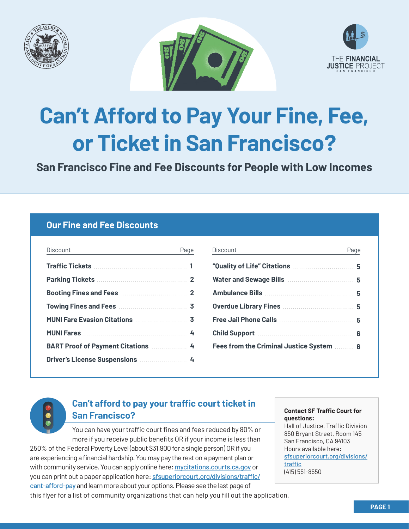





# **Can't Afford to Pay Your Fine, Fee, or Ticket in San Francisco?**

**San Francisco Fine and Fee Discounts for People with Low Incomes**

## **Our Fine and Fee Discounts**

| Discount                                         | Page |
|--------------------------------------------------|------|
|                                                  |      |
|                                                  |      |
|                                                  |      |
|                                                  |      |
| MUNI Fare Evasion Citations  3                   |      |
|                                                  |      |
| <b>BART Proof of Payment Citations Marson 44</b> |      |
| Driver's License Suspensions  4                  |      |
|                                                  |      |

| Discount                                                                                                             | Page | Discount                                              | Page |
|----------------------------------------------------------------------------------------------------------------------|------|-------------------------------------------------------|------|
|                                                                                                                      |      | "Quality of Life" Citations <b>Manuality</b> of Life" |      |
|                                                                                                                      |      | Water and Sewage Bills <b>Mater and Sewage Bills</b>  |      |
|                                                                                                                      |      |                                                       |      |
|                                                                                                                      |      |                                                       |      |
|                                                                                                                      |      |                                                       |      |
|                                                                                                                      |      | Child Support Manual Child Support 2001               |      |
|                                                                                                                      |      |                                                       |      |
| <b>Duties de Liberation Des Angles de Liberation de la propriété de la propriété de la propriété de la propriété</b> |      |                                                       |      |



# **Can't afford to pay your traffic court ticket in San Francisco?**

You can have your traffic court fines and fees reduced by 80% or more if you receive public benefits OR if your income is less than

250% of the Federal Poverty Level (about \$31,900 for a single person) OR if you are experiencing a financial hardship. You may pay the rest on a payment plan or with community service. You can apply online here: [mycitations.courts.ca.gov](https://mycitations.courts.ca.gov/) or you can print out a paper application here: **[sfsuperiorcourt.org/](https://www.sfsuperiorcourt.org/divisions/traffic/cant-afford-pay)divisions/traffic/** [cant-afford-pay](https://www.sfsuperiorcourt.org/divisions/traffic/cant-afford-pay) and learn more about your options. Please see the last page of this flyer for a list of community organizations that can help you fill out the application.

#### **Contact SF Traffic Court for questions:**

Hall of Justice, Traffic Division 850 Bryant Street, Room 145 San Francisco, CA 94103 Hours available here: [sfsuperiorcourt.org/divisions/](http://sfsuperiorcourt.org/divisions/traffic) [traffic](http://sfsuperiorcourt.org/divisions/traffic) (415) 551-8550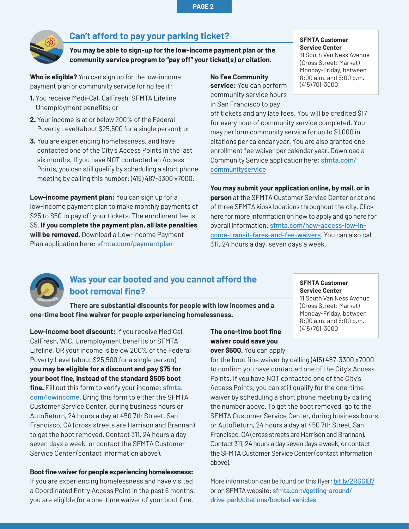**PAGE 2**

<span id="page-1-0"></span>

## **Can't afford to pay your parking ticket?**

**You may be able to sign-up for the low-income payment plan or the community service program to "pay off" your ticket(s) or citation.**

**Who is eligible?** You can sign up for the low-income payment plan or community service for no fee if:

- **1.** You receive Medi-Cal, CalFresh, SFMTA Lifeline, Unemployment benefits; or
- **2.** Your income is at or below 200% of the Federal Poverty Level (about \$25,500 for a single person); or
- **3.** You are experiencing homelessness, and have contacted one of the City's Access Points in the last six months. If you have NOT contacted an Access Points, you can still qualify by scheduling a short phone meeting by calling this number: (415) 487-3300 x7000.

**Low-income payment plan:** You can sign up for a low-income payment plan to make monthly payments of \$25 to \$50 to pay off your tickets. The enrollment fee is \$5. **If you complete the payment plan, all late penalties will be removed.** Download a Low-Income Payment Plan application here: [sfmta.com/paymentplan](http://sfmta.com/paymentplan)

#### **No Fee Community**

**service:** You can perform (415) 701-3000 community service hours in San Francisco to pay

#### **SFMTA Customer Service Center**

11 South Van Ness Avenue (Cross Street: Market) Monday-Friday, between 8:00 a.m. and 5:00 p.m.

off tickets and any late fees. You will be credited \$17 for every hour of community service completed. You may perform community service for up to \$1,000 in citations per calendar year. You are also granted one enrollment fee waiver per calendar year. Download a [Community Service application here:](http://sfmta.com/communityservice) sfmta.com/ communityservice

**You may submit your application online, by mail, or in person** at the SFMTA Customer Service Center or at one of three SFMTA kiosk locations throughout the city. Click here for more information on how to apply and go here for overall information: [sfmta.com/how-access-low-in](http://sfmta.com/how-access-low-income-transit-fares-and-fee-waivers)[come-transit-fares-and-fee-waivers](http://sfmta.com/how-access-low-income-transit-fares-and-fee-waivers). You can also call 311, 24 hours a day, seven days a week.



## **Was your car booted and you cannot afford the boot removal fine?**

**There are substantial discounts for people with low incomes and a one-time boot fine waiver for people experiencing homelessness.**

**Low-income boot discount:** If you receive MediCal, CalFresh, WIC, Unemployment benefits or SFMTA Lifeline, OR your income is below 200% of the Federal Poverty Level (about \$25,500 for a single person), **you may be eligible for a discount and pay \$75 for your boot fine, instead of the standard \$505 boot**  fine. Fill out this form to verify your income: **[sfmta.](http://sfmta.com/lowincome)** [com/lowincome](http://sfmta.com/lowincome). Bring this form to either the SFMTA Customer Service Center, during business hours or AutoReturn, 24 hours a day at 450 7th Street, San Francisco, CA (cross streets are Harrison and Brannan) to get the boot removed. Contact 311, 24 hours a day seven days a week, or contact the SFMTA Customer Service Center (contact information above).

#### **Boot fine waiver for people experiencing homelessness:**

If you are experiencing homelessness and have visited a Coordinated Entry Access Point in the past 6 months, you are eligible for a one-time waiver of your boot fine.

#### **The one-time boot fine waiver could save you over \$500.** You can apply

**SFMTA Customer Service Center** 11 South Van Ness Avenue

(Cross Street: Market) Monday-Friday, between 8:00 a.m. and 5:00 p.m. (415) 701-3000

for the boot fine waiver by calling (415) 487-3300 x7000 to confirm you have contacted one of the City's Access Points. If you have NOT contacted one of the City's Access Points, you can still qualify for the one-time waiver by scheduling a short phone meeting by calling the number above. To get the boot removed, go to the SFMTA Customer Service Center, during business hours or AutoReturn, 24 hours a day at 450 7th Street, San Francisco, CA (cross streets are Harrison and Brannan). Contact 311, 24 hours a day seven days a week, or contact the SFMTA Customer Service Center (contact information above).

More information can be found on this flyer: [bit.ly/2RGGIB7](http://bit.ly/2RGGIB7) or on SFMTA website: [sfmta.com/getting-around/](http://sfmta.com/getting-around/drive-park/citations/booted-vehicles) [drive-park/citations/booted-vehicles](http://sfmta.com/getting-around/drive-park/citations/booted-vehicles)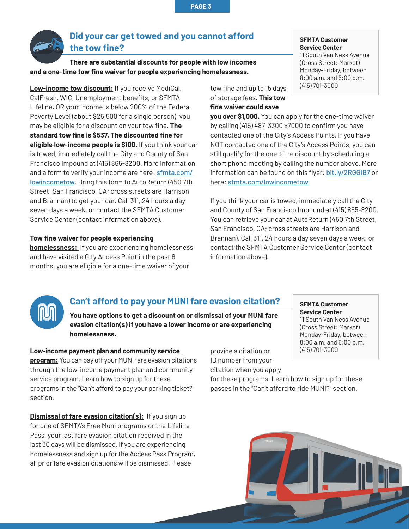<span id="page-2-0"></span>

## **Did your car get towed and you cannot afford the tow fine?**

**There are substantial discounts for people with low incomes and a one-time tow fine waiver for people experiencing homelessness.**

**Low-income tow discount:** If you receive MediCal, CalFresh, WIC, Unemployment benefits, or SFMTA Lifeline, OR your income is below 200% of the Federal Poverty Level (about \$25,500 for a single person), you may be eligible for a discount on your tow fine. **The standard tow fine is \$537. The discounted fine for eligible low-income people is \$100.** If you think your car is towed, immediately call the City and County of San Francisco Impound at (415) 865-8200. More information and a form to verify your income are here: **[sfmta.com/](http://sfmta.com/lowincometow)** [lowincometow](http://sfmta.com/lowincometow). Bring this form to AutoReturn (450 7th Street, San Francisco, CA; cross streets are Harrison and Brannan) to get your car. Call 311, 24 hours a day seven days a week, or contact the SFMTA Customer Service Center (contact information above).

#### **Tow fine waiver for people experiencing**

**homelessness:** If you are experiencing homelessness and have visited a City Access Point in the past 6 months, you are eligible for a one-time waiver of your

#### **SFMTA Customer Service Center**

11 South Van Ness Avenue (Cross Street: Market) Monday-Friday, between 8:00 a.m. and 5:00 p.m. (415) 701-3000

tow fine and up to 15 days of storage fees. **This tow fine waiver could save** 

**you over \$1,000.** You can apply for the one-time waiver by calling (415) 487-3300 x7000 to confirm you have contacted one of the City's Access Points. If you have NOT contacted one of the City's Access Points, you can still qualify for the one-time discount by scheduling a short phone meeting by calling the number above. More information can be found on this flyer: [bit.ly/2RGGIB7](http://bit.ly/2RGGIB7) or here: [sfmta.com/lowincometow](http://sfmta.com/lowincometow)

If you think your car is towed, immediately call the City and County of San Francisco Impound at (415) 865-8200. You can retrieve your car at AutoReturn (450 7th Street, San Francisco, CA; cross streets are Harrison and Brannan). Call 311, 24 hours a day seven days a week, or contact the SFMTA Customer Service Center (contact information above).



## **Can't afford to pay your MUNI fare evasion citation?**

**You have options to get a discount on or dismissal of your MUNI fare evasion citation(s) if you have a lower income or are experiencing homelessness.** 

#### **Low-income payment plan and community service**

**program:** You can pay off your MUNI fare evasion citations through the low-income payment plan and community service program. Learn how to sign up for these programs in the "Can't afford to pay your parking ticket?" section.

**Dismissal of fare evasion citation(s):** If you sign up for one of SFMTA's Free Muni programs or the Lifeline Pass, your last fare evasion citation received in the last 30 days will be dismissed. If you are experiencing homelessness and sign up for the Access Pass Program, all prior fare evasion citations will be dismissed. Please

provide a citation or ID number from your citation when you apply

for these programs. Learn how to sign up for these passes in the "Can't afford to ride MUNI?" section.



**SFMTA Customer Service Center**

(415) 701-3000

11 South Van Ness Avenue (Cross Street: Market) Monday-Friday, between 8:00 a.m. and 5:00 p.m.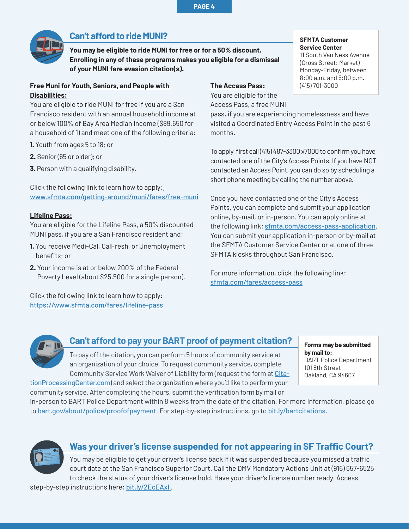<span id="page-3-0"></span>

## **Can't afford to ride MUNI?**

**You may be eligible to ride MUNI for free or for a 50% discount. Enrolling in any of these programs makes you eligible for a dismissal of your MUNI fare evasion citation(s).** 

#### **Free Muni for Youth, Seniors, and People with Disabilities:**

You are eligible to ride MUNI for free if you are a San Francisco resident with an annual household income at or below 100% of Bay Area Median Income (\$89,650 for a household of 1) and meet one of the following criteria:

- **1.** Youth from ages 5 to 18; or
- **2.** Senior (65 or older); or
- **3.** Person with a qualifying disability.

Click the following link to learn how to apply: [www.sfmta.com/getting-around/muni/fares/free-muni](http://www.sfmta.com/getting-around/muni/fares/free-muni)

#### **Lifeline Pass:**

You are eligible for the Lifeline Pass, a 50% discounted MUNI pass, if you are a San Francisco resident and:

- **1.** You receive Medi-Cal, CalFresh, or Unemployment benefits; or
- **2.** Your income is at or below 200% of the Federal Poverty Level (about \$25,500 for a single person).

Click the following link to learn how to apply: [https://www.sfmta.com/fares/lifeline-pass](https://www.sfmta.com/fares/lifeline-pass )

### **The Access Pass:**

You are eligible for the Access Pass, a free MUNI

#### **SFMTA Customer Service Center**

11 South Van Ness Avenue (Cross Street: Market) Monday-Friday, between 8:00 a.m. and 5:00 p.m. (415) 701-3000

pass, if you are experiencing homelessness and have visited a Coordinated Entry Access Point in the past 6 months.

To apply, first call (415) 487-3300 x7000 to confirm you have contacted one of the City's Access Points. If you have NOT contacted an Access Point, you can do so by scheduling a short phone meeting by calling the number above.

Once you have contacted one of the City's Access Points, you can complete and submit your application online, by-mail, or in-person. You can apply online at the following link: [sfmta.com/access-pass-application](https://www.sfmta.com/access-pass-application). You can submit your application in-person or by-mail at the SFMTA Customer Service Center or at one of three SFMTA kiosks throughout San Francisco.

For more information, click the following link: [sfmta.com/fares/access-pass](http://sfmta.com/fares/access-pass)



# **Can't afford to pay your BART proof of payment citation?**

To pay off the citation, you can perform 5 hours of community service at an organization of your choice. To request community service, complete Community Service Work Waiver of Liability form (request the form at [Cita](http://CitationProcessingCenter.com)[tionProcessingCenter.com](http://CitationProcessingCenter.com)) and select the organization where you'd like to perform your

**Forms may be submitted by mail to:** BART Police Department 101 8th Street Oakland, CA 94607

community service. After completing the hours, submit the verification form by mail or in-person to BART Police Department within 8 weeks from the date of the citation. For more information, please go to **[bart.gov/about/police/proofofpayment](http://bart.gov/about/police/proofofpayment)**. For step-by-step instructions, go to **[bit.ly/bartcitations](http://bit.ly/bartcitations).** 



## **Was your driver's license suspended for not appearing in SF Traffic Court?**

You may be eligible to get your driver's license back if it was suspended because you missed a traffic court date at the San Francisco Superior Court. Call the DMV Mandatory Actions Unit at (916) 657-6525 to check the status of your driver's license hold. Have your driver's license number ready. Access

step-by-step instructions here: **bit.ly/2EcEAxI**.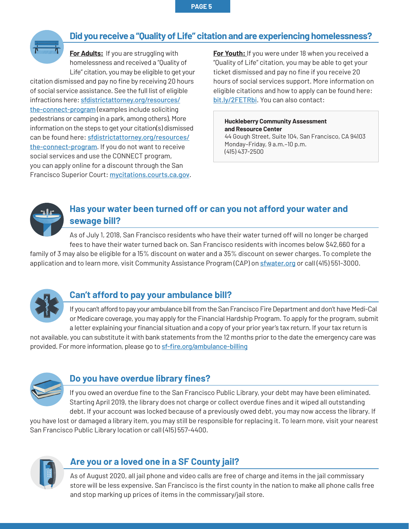<span id="page-4-0"></span>

# **Did you receive a "Quality of Life" citation and are experiencing homelessness?**

**For Adults:** If you are struggling with homelessness and received a "Quality of Life" citation, you may be eligible to get your

citation dismissed and pay no fine by receiving 20 hours of social service assistance. See the full list of eligible infractions here: [sfdistrictattorney.org/resources/](http://sfdistrictattorney.org/resources/the-connect-program) [the-connect-program](http://sfdistrictattorney.org/resources/the-connect-program) (examples include soliciting pedestrians or camping in a park, among others). More information on the steps to get your citation(s) dismissed can be found here: [sfdistrictattorney.org/resources/](https://sfdistrictattorney.org/resources/the-connect-program/) [the-connect-program](https://sfdistrictattorney.org/resources/the-connect-program/). If you do not want to receive social services and use the CONNECT program, you can apply online for a discount through the San Francisco Superior Court: [mycitations.courts.ca.gov](http://mycitations.courts.ca.gov).

**For Youth:** If you were under 18 when you received a "Quality of Life" citation, you may be able to get your ticket dismissed and pay no fine if you receive 20 hours of social services support. More information on eligible citations and how to apply can be found here: [bit.ly/2FETRbi](http://bit.ly/2FETRbi). You can also contact:

**Huckleberry Community Assessment and Resource Center** 

44 Gough Street, Suite 104, San Francisco, CA 94103 Monday–Friday, 9 a.m.–10 p.m. (415) 437-2500



## **Has your water been turned off or can you not afford your water and sewage bill?**

As of July 1, 2018, San Francisco residents who have their water turned off will no longer be charged fees to have their water turned back on. San Francisco residents with incomes below \$42,660 for a family of 3 may also be eligible for a 15% discount on water and a 35% discount on sewer charges. To complete the

application and to learn more, visit Community Assistance Program (CAP) on [sfwater.org](http://sfwater.org) or call (415) 551-3000.



# **Can't afford to pay your ambulance bill?**

If you can't afford to pay your ambulance bill from the San Francisco Fire Department and don't have Medi-Cal or Medicare coverage, you may apply for the Financial Hardship Program. To apply for the program, submit a letter explaining your financial situation and a copy of your prior year's tax return. If your tax return is

not available, you can substitute it with bank statements from the 12 months prior to the date the emergency care was provided. For more information, please go to [sf-fire.org/ambulance-billing](http://sf-fire.org/ambulance-billing)



## **Do you have overdue library fines?**

If you owed an overdue fine to the San Francisco Public Library, your debt may have been eliminated. Starting April 2019, the library does not charge or collect overdue fines and it wiped all outstanding debt. If your account was locked because of a previously owed debt, you may now access the library. If

you have lost or damaged a library item, you may still be responsible for replacing it. To learn more, visit your nearest San Francisco Public Library location or call (415) 557-4400.



# **Are you or a loved one in a SF County jail?**

As of August 2020, all jail phone and video calls are free of charge and items in the jail commissary store will be less expensive. San Francisco is the first county in the nation to make all phone calls free and stop marking up prices of items in the commissary/jail store.